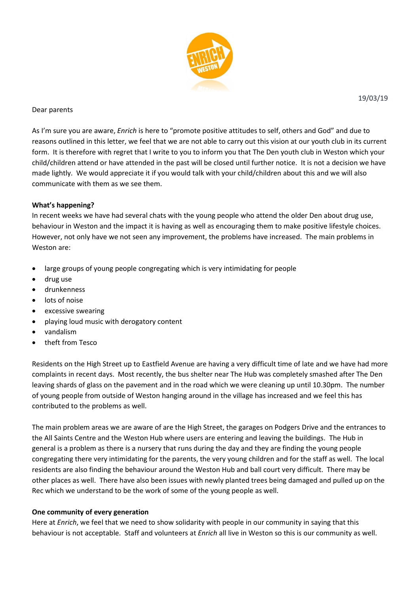

### Dear parents

As I'm sure you are aware, *Enrich* is here to "promote positive attitudes to self, others and God" and due to reasons outlined in this letter, we feel that we are not able to carry out this vision at our youth club in its current form. It is therefore with regret that I write to you to inform you that The Den youth club in Weston which your child/children attend or have attended in the past will be closed until further notice. It is not a decision we have made lightly. We would appreciate it if you would talk with your child/children about this and we will also communicate with them as we see them.

### **What's happening?**

In recent weeks we have had several chats with the young people who attend the older Den about drug use, behaviour in Weston and the impact it is having as well as encouraging them to make positive lifestyle choices. However, not only have we not seen any improvement, the problems have increased. The main problems in Weston are:

- large groups of young people congregating which is very intimidating for people
- drug use
- drunkenness
- **•** lots of noise
- excessive swearing
- playing loud music with derogatory content
- vandalism
- theft from Tesco

Residents on the High Street up to Eastfield Avenue are having a very difficult time of late and we have had more complaints in recent days. Most recently, the bus shelter near The Hub was completely smashed after The Den leaving shards of glass on the pavement and in the road which we were cleaning up until 10.30pm. The number of young people from outside of Weston hanging around in the village has increased and we feel this has contributed to the problems as well.

The main problem areas we are aware of are the High Street, the garages on Podgers Drive and the entrances to the All Saints Centre and the Weston Hub where users are entering and leaving the buildings. The Hub in general is a problem as there is a nursery that runs during the day and they are finding the young people congregating there very intimidating for the parents, the very young children and for the staff as well. The local residents are also finding the behaviour around the Weston Hub and ball court very difficult. There may be other places as well. There have also been issues with newly planted trees being damaged and pulled up on the Rec which we understand to be the work of some of the young people as well.

### **One community of every generation**

Here at *Enrich*, we feel that we need to show solidarity with people in our community in saying that this behaviour is not acceptable. Staff and volunteers at *Enrich* all live in Weston so this is our community as well.